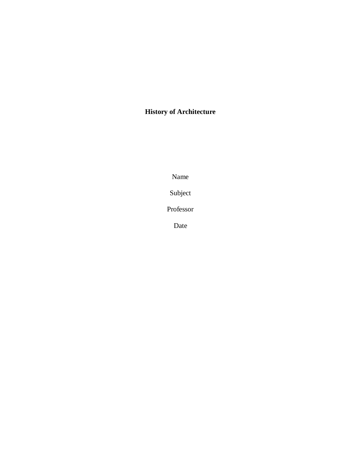# **History of Architecture**

Name

Subject

Professor

Date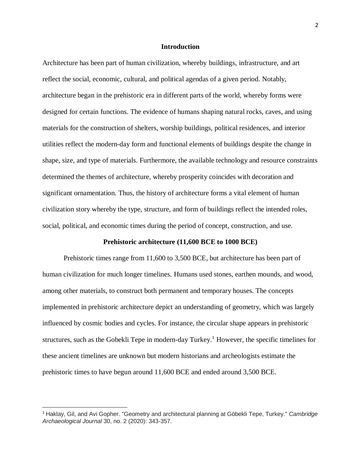### **Introduction**

Architecture has been part of human civilization, whereby buildings, infrastructure, and art reflect the social, economic, cultural, and political agendas of a given period. Notably, architecture began in the prehistoric era in different parts of the world, whereby forms were designed for certain functions. The evidence of humans shaping natural rocks, caves, and using materials for the construction of shelters, worship buildings, political residences, and interior utilities reflect the modern-day form and functional elements of buildings despite the change in shape, size, and type of materials. Furthermore, the available technology and resource constraints determined the themes of architecture, whereby prosperity coincides with decoration and significant ornamentation. Thus, the history of architecture forms a vital element of human civilization story whereby the type, structure, and form of buildings reflect the intended roles, social, political, and economic times during the period of concept, construction, and use.

#### **Prehistoric architecture (11,600 BCE to 1000 BCE)**

Prehistoric times range from 11,600 to 3,500 BCE, but architecture has been part of human civilization for much longer timelines. Humans used stones, earthen mounds, and wood, among other materials, to construct both permanent and temporary houses. The concepts implemented in prehistoric architecture depict an understanding of geometry, which was largely influenced by cosmic bodies and cycles. For instance, the circular shape appears in prehistoric structures, such as the Gobekli Tepe in modern-day Turkey. <sup>1</sup> However, the specific timelines for these ancient timelines are unknown but modern historians and archeologists estimate the prehistoric times to have begun around 11,600 BCE and ended around 3,500 BCE.

<sup>1</sup> Haklay, Gil, and Avi Gopher. "Geometry and architectural planning at Göbekli Tepe, Turkey." *Cambridge Archaeological Journal* 30, no. 2 (2020): 343-357.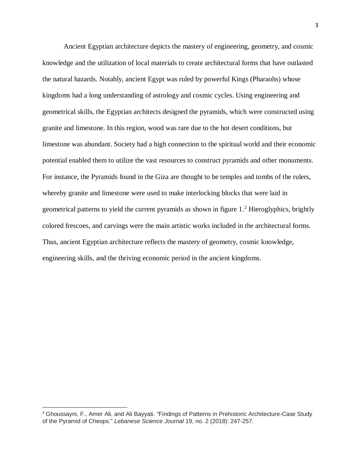Ancient Egyptian architecture depicts the mastery of engineering, geometry, and cosmic knowledge and the utilization of local materials to create architectural forms that have outlasted the natural hazards. Notably, ancient Egypt was ruled by powerful Kings (Pharaohs) whose kingdoms had a long understanding of astrology and cosmic cycles. Using engineering and geometrical skills, the Egyptian architects designed the pyramids, which were constructed using granite and limestone. In this region, wood was rare due to the hot desert conditions, but limestone was abundant. Society had a high connection to the spiritual world and their economic potential enabled them to utilize the vast resources to construct pyramids and other monuments. For instance, the Pyramids found in the Giza are thought to be temples and tombs of the rulers, whereby granite and limestone were used to make interlocking blocks that were laid in geometrical patterns to yield the current pyramids as shown in figure 1.<sup>2</sup> Hieroglyphics, brightly colored frescoes, and carvings were the main artistic works included in the architectural forms. Thus, ancient Egyptian architecture reflects the mastery of geometry, cosmic knowledge, engineering skills, and the thriving economic period in the ancient kingdoms.

<sup>2</sup> Ghoussayni, F., Amer Ali, and Ali Bayyati. "Findings of Patterns in Prehistoric Architecture-Case Study of the Pyramid of Cheops." *Lebanese Science Journal* 19, no. 2 (2018): 247-257.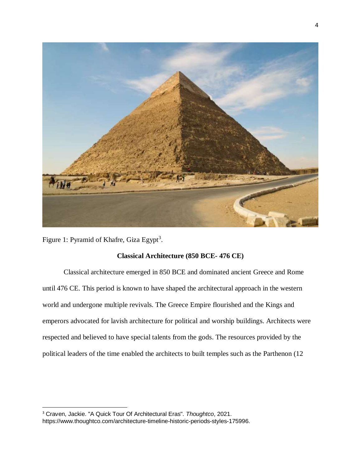

Figure 1: Pyramid of Khafre, Giza Egypt<sup>3</sup>.

## **Classical Architecture (850 BCE- 476 CE)**

Classical architecture emerged in 850 BCE and dominated ancient Greece and Rome until 476 CE. This period is known to have shaped the architectural approach in the western world and undergone multiple revivals. The Greece Empire flourished and the Kings and emperors advocated for lavish architecture for political and worship buildings. Architects were respected and believed to have special talents from the gods. The resources provided by the political leaders of the time enabled the architects to built temples such as the Parthenon (12

 $\overline{a}$ <sup>3</sup> Craven, Jackie. "A Quick Tour Of Architectural Eras". *Thoughtco*, 2021. https://www.thoughtco.com/architecture-timeline-historic-periods-styles-175996.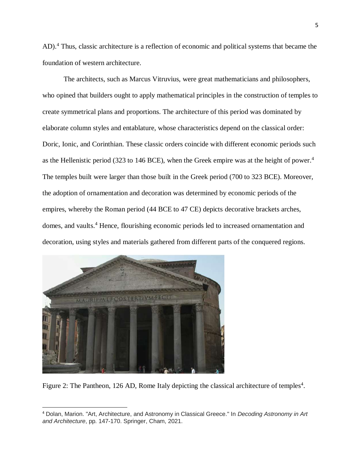AD).<sup>4</sup> Thus, classic architecture is a reflection of economic and political systems that became the foundation of western architecture.

The architects, such as Marcus Vitruvius, were great mathematicians and philosophers, who opined that builders ought to apply mathematical principles in the construction of temples to create symmetrical plans and proportions. The architecture of this period was dominated by elaborate column styles and entablature, whose characteristics depend on the classical order: Doric, Ionic, and Corinthian. These classic orders coincide with different economic periods such as the Hellenistic period (323 to 146 BCE), when the Greek empire was at the height of power.<sup>4</sup> The temples built were larger than those built in the Greek period (700 to 323 BCE). Moreover, the adoption of ornamentation and decoration was determined by economic periods of the empires, whereby the Roman period (44 BCE to 47 CE) depicts decorative brackets arches, domes, and vaults. <sup>4</sup> Hence, flourishing economic periods led to increased ornamentation and decoration, using styles and materials gathered from different parts of the conquered regions.



 $\overline{a}$ 

Figure 2: The Pantheon, 126 AD, Rome Italy depicting the classical architecture of temples<sup>4</sup>.

<sup>4</sup> Dolan, Marion. "Art, Architecture, and Astronomy in Classical Greece." In *Decoding Astronomy in Art and Architecture*, pp. 147-170. Springer, Cham, 2021.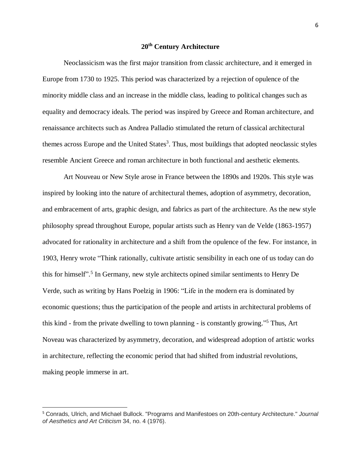### **20th Century Architecture**

Neoclassicism was the first major transition from classic architecture, and it emerged in Europe from 1730 to 1925. This period was characterized by a rejection of opulence of the minority middle class and an increase in the middle class, leading to political changes such as equality and democracy ideals. The period was inspired by Greece and Roman architecture, and renaissance architects such as Andrea Palladio stimulated the return of classical architectural themes across Europe and the United States<sup>3</sup>. Thus, most buildings that adopted neoclassic styles resemble Ancient Greece and roman architecture in both functional and aesthetic elements.

Art Nouveau or New Style arose in France between the 1890s and 1920s. This style was inspired by looking into the nature of architectural themes, adoption of asymmetry, decoration, and embracement of arts, graphic design, and fabrics as part of the architecture. As the new style philosophy spread throughout Europe, popular artists such as Henry van de Velde (1863-1957) advocated for rationality in architecture and a shift from the opulence of the few. For instance, in 1903, Henry wrote "Think rationally, cultivate artistic sensibility in each one of us today can do this for himself". 5 In Germany, new style architects opined similar sentiments to Henry De Verde, such as writing by Hans Poelzig in 1906: "Life in the modern era is dominated by economic questions; thus the participation of the people and artists in architectural problems of this kind - from the private dwelling to town planning - is constantly growing." <sup>5</sup> Thus, Art Noveau was characterized by asymmetry, decoration, and widespread adoption of artistic works in architecture, reflecting the economic period that had shifted from industrial revolutions, making people immerse in art.

<sup>5</sup> Conrads, Ulrich, and Michael Bullock. "Programs and Manifestoes on 20th-century Architecture." *Journal of Aesthetics and Art Criticism* 34, no. 4 (1976).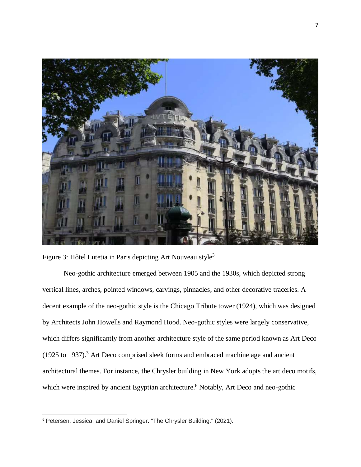

Figure 3: Hôtel Lutetia in Paris depicting Art Nouveau style<sup>3</sup>

Neo-gothic architecture emerged between 1905 and the 1930s, which depicted strong vertical lines, arches, pointed windows, carvings, pinnacles, and other decorative traceries. A decent example of the neo-gothic style is the Chicago Tribute tower (1924), which was designed by Architects John Howells and Raymond Hood. Neo-gothic styles were largely conservative, which differs significantly from another architecture style of the same period known as Art Deco (1925 to 1937). <sup>3</sup> Art Deco comprised sleek forms and embraced machine age and ancient architectural themes. For instance, the Chrysler building in New York adopts the art deco motifs, which were inspired by ancient Egyptian architecture.<sup>6</sup> Notably, Art Deco and neo-gothic

 $\overline{\phantom{a}}$ 

<sup>6</sup> Petersen, Jessica, and Daniel Springer. "The Chrysler Building." (2021).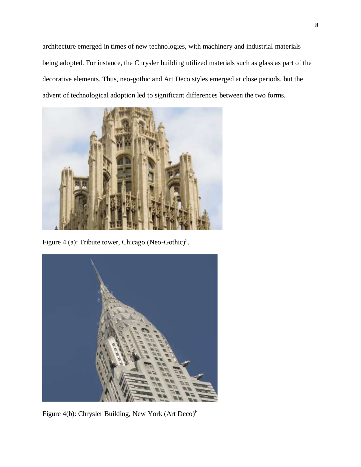architecture emerged in times of new technologies, with machinery and industrial materials being adopted. For instance, the Chrysler building utilized materials such as glass as part of the decorative elements. Thus, neo-gothic and Art Deco styles emerged at close periods, but the advent of technological adoption led to significant differences between the two forms.



Figure 4 (a): Tribute tower, Chicago (Neo-Gothic)<sup>5</sup>.



Figure 4(b): Chrysler Building, New York (Art Deco)<sup>6</sup>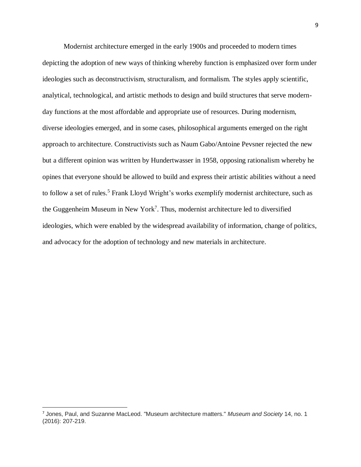Modernist architecture emerged in the early 1900s and proceeded to modern times depicting the adoption of new ways of thinking whereby function is emphasized over form under ideologies such as deconstructivism, structuralism, and formalism. The styles apply scientific, analytical, technological, and artistic methods to design and build structures that serve modernday functions at the most affordable and appropriate use of resources. During modernism, diverse ideologies emerged, and in some cases, philosophical arguments emerged on the right approach to architecture. Constructivists such as Naum Gabo/Antoine Pevsner rejected the new but a different opinion was written by Hundertwasser in 1958, opposing rationalism whereby he opines that everyone should be allowed to build and express their artistic abilities without a need to follow a set of rules.<sup>5</sup> Frank Lloyd Wright's works exemplify modernist architecture, such as the Guggenheim Museum in New York<sup>7</sup>. Thus, modernist architecture led to diversified ideologies, which were enabled by the widespread availability of information, change of politics, and advocacy for the adoption of technology and new materials in architecture.

<sup>7</sup> Jones, Paul, and Suzanne MacLeod. "Museum architecture matters." *Museum and Society* 14, no. 1 (2016): 207-219.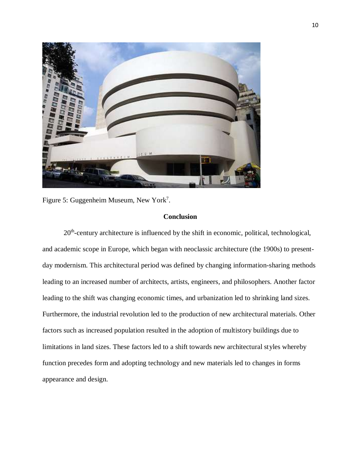

Figure 5: Guggenheim Museum, New York<sup>7</sup>.

### **Conclusion**

20<sup>th</sup>-century architecture is influenced by the shift in economic, political, technological, and academic scope in Europe, which began with neoclassic architecture (the 1900s) to presentday modernism. This architectural period was defined by changing information-sharing methods leading to an increased number of architects, artists, engineers, and philosophers. Another factor leading to the shift was changing economic times, and urbanization led to shrinking land sizes. Furthermore, the industrial revolution led to the production of new architectural materials. Other factors such as increased population resulted in the adoption of multistory buildings due to limitations in land sizes. These factors led to a shift towards new architectural styles whereby function precedes form and adopting technology and new materials led to changes in forms appearance and design.